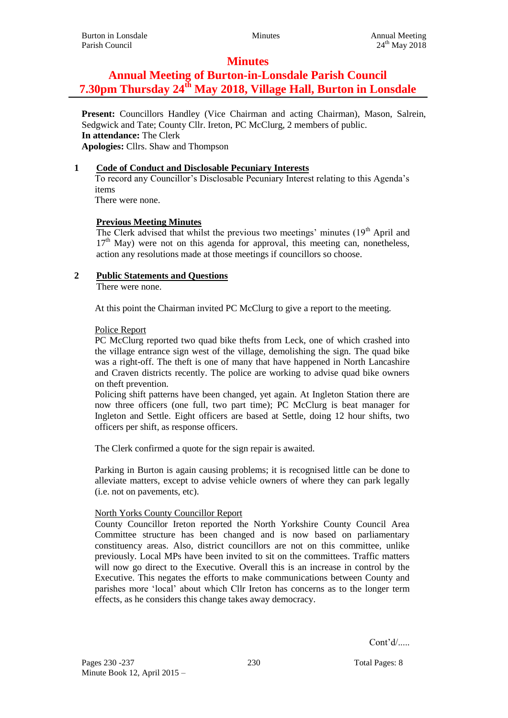## **Minutes**

# **Annual Meeting of Burton-in-Lonsdale Parish Council 7.30pm Thursday 24th May 2018, Village Hall, Burton in Lonsdale**

**Present:** Councillors Handley (Vice Chairman and acting Chairman), Mason, Salrein, Sedgwick and Tate; County Cllr. Ireton, PC McClurg, 2 members of public. **In attendance:** The Clerk **Apologies:** Cllrs. Shaw and Thompson

### **1 Code of Conduct and Disclosable Pecuniary Interests**

To record any Councillor's Disclosable Pecuniary Interest relating to this Agenda's items

There were none.

## **Previous Meeting Minutes**

The Clerk advised that whilst the previous two meetings' minutes  $(19<sup>th</sup>$  April and  $17<sup>th</sup>$  May) were not on this agenda for approval, this meeting can, nonetheless, action any resolutions made at those meetings if councillors so choose.

### **2 Public Statements and Questions**

There were none.

At this point the Chairman invited PC McClurg to give a report to the meeting.

### Police Report

PC McClurg reported two quad bike thefts from Leck, one of which crashed into the village entrance sign west of the village, demolishing the sign. The quad bike was a right-off. The theft is one of many that have happened in North Lancashire and Craven districts recently. The police are working to advise quad bike owners on theft prevention.

Policing shift patterns have been changed, yet again. At Ingleton Station there are now three officers (one full, two part time); PC McClurg is beat manager for Ingleton and Settle. Eight officers are based at Settle, doing 12 hour shifts, two officers per shift, as response officers.

The Clerk confirmed a quote for the sign repair is awaited.

Parking in Burton is again causing problems; it is recognised little can be done to alleviate matters, except to advise vehicle owners of where they can park legally (i.e. not on pavements, etc).

### North Yorks County Councillor Report

County Councillor Ireton reported the North Yorkshire County Council Area Committee structure has been changed and is now based on parliamentary constituency areas. Also, district councillors are not on this committee, unlike previously. Local MPs have been invited to sit on the committees. Traffic matters will now go direct to the Executive. Overall this is an increase in control by the Executive. This negates the efforts to make communications between County and parishes more 'local' about which Cllr Ireton has concerns as to the longer term effects, as he considers this change takes away democracy.

Cont'd/.....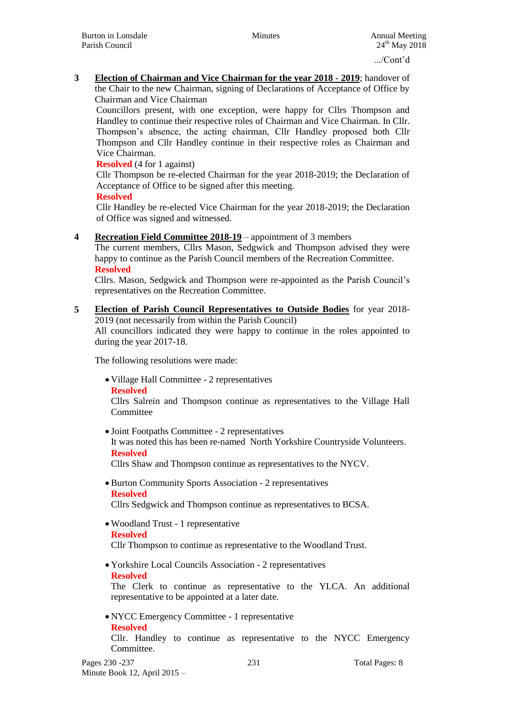**3 Election of Chairman and Vice Chairman for the year 2018 - 2019**; handover of the Chair to the new Chairman, signing of Declarations of Acceptance of Office by Chairman and Vice Chairman

Councillors present, with one exception, were happy for Cllrs Thompson and Handley to continue their respective roles of Chairman and Vice Chairman. In Cllr. Thompson's absence, the acting chairman, Cllr Handley proposed both Cllr Thompson and Cllr Handley continue in their respective roles as Chairman and Vice Chairman.

**Resolved** (4 for 1 against)

Cllr Thompson be re-elected Chairman for the year 2018-2019; the Declaration of Acceptance of Office to be signed after this meeting.

**Resolved**

Cllr Handley be re-elected Vice Chairman for the year 2018-2019; the Declaration of Office was signed and witnessed.

**4 Recreation Field Committee 2018-19** – appointment of 3 members

The current members, Cllrs Mason, Sedgwick and Thompson advised they were happy to continue as the Parish Council members of the Recreation Committee. **Resolved**

Cllrs. Mason, Sedgwick and Thompson were re-appointed as the Parish Council's representatives on the Recreation Committee.

**5 Election of Parish Council Representatives to Outside Bodies** for year 2018- 2019 (not necessarily from within the Parish Council) All councillors indicated they were happy to continue in the roles appointed to

during the year 2017-18.

The following resolutions were made:

 Village Hall Committee - 2 representatives **Resolved**

Cllrs Salrein and Thompson continue as representatives to the Village Hall Committee

 Joint Footpaths Committee - 2 representatives It was noted this has been re-named North Yorkshire Countryside Volunteers. **Resolved**

Cllrs Shaw and Thompson continue as representatives to the NYCV.

 Burton Community Sports Association - 2 representatives **Resolved**

Cllrs Sedgwick and Thompson continue as representatives to BCSA.

- Woodland Trust 1 representative **Resolved** Cllr Thompson to continue as representative to the Woodland Trust.
- Yorkshire Local Councils Association 2 representatives
- **Resolved**

The Clerk to continue as representative to the YLCA. An additional representative to be appointed at a later date.

 NYCC Emergency Committee - 1 representative **Resolved**

Cllr. Handley to continue as representative to the NYCC Emergency Committee.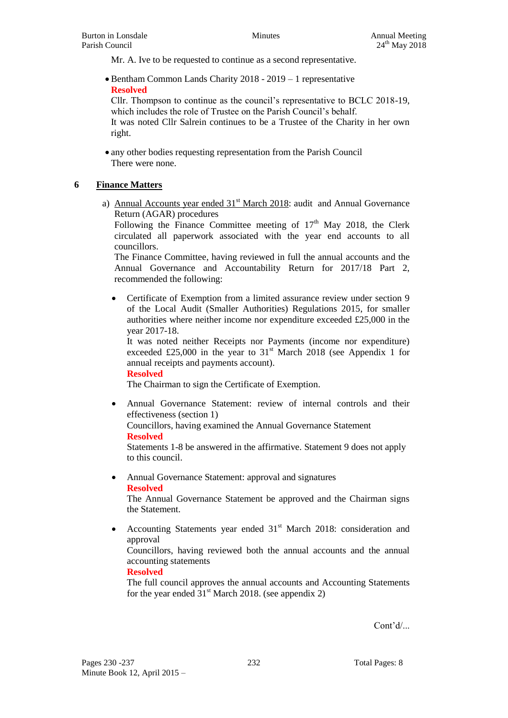Mr. A. Ive to be requested to continue as a second representative.

 Bentham Common Lands Charity 2018 - 2019 – 1 representative **Resolved**

Cllr. Thompson to continue as the council's representative to BCLC 2018-19, which includes the role of Trustee on the Parish Council's behalf.

It was noted Cllr Salrein continues to be a Trustee of the Charity in her own right.

 any other bodies requesting representation from the Parish Council There were none.

### **6 Finance Matters**

a) Annual Accounts year ended 31<sup>st</sup> March 2018: audit and Annual Governance Return (AGAR) procedures

Following the Finance Committee meeting of  $17<sup>th</sup>$  May 2018, the Clerk circulated all paperwork associated with the year end accounts to all councillors.

The Finance Committee, having reviewed in full the annual accounts and the Annual Governance and Accountability Return for 2017/18 Part 2, recommended the following:

 Certificate of Exemption from a limited assurance review under section 9 of the Local Audit (Smaller Authorities) Regulations 2015, for smaller authorities where neither income nor expenditure exceeded £25,000 in the year 2017-18.

It was noted neither Receipts nor Payments (income nor expenditure) exceeded £25,000 in the year to  $31<sup>st</sup>$  March 2018 (see Appendix 1 for annual receipts and payments account).

**Resolved**

The Chairman to sign the Certificate of Exemption.

 Annual Governance Statement: review of internal controls and their effectiveness (section 1)

Councillors, having examined the Annual Governance Statement **Resolved**

Statements 1-8 be answered in the affirmative. Statement 9 does not apply to this council.

• Annual Governance Statement: approval and signatures **Resolved**

The Annual Governance Statement be approved and the Chairman signs the Statement.

Accounting Statements year ended  $31<sup>st</sup>$  March 2018: consideration and approval

Councillors, having reviewed both the annual accounts and the annual accounting statements

#### **Resolved**

The full council approves the annual accounts and Accounting Statements for the year ended  $31<sup>st</sup>$  March 2018. (see appendix 2)

Cont'd/...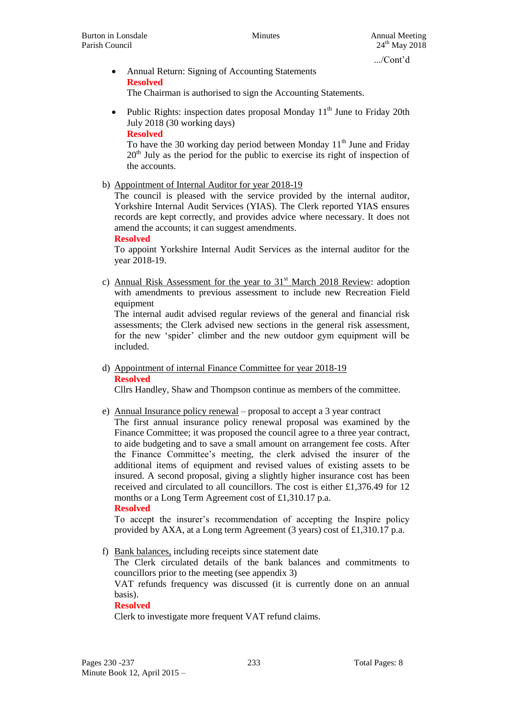- Annual Return: Signing of Accounting Statements **Resolved** The Chairman is authorised to sign the Accounting Statements.
- Public Rights: inspection dates proposal Monday  $11<sup>th</sup>$  June to Friday 20th July 2018 (30 working days)

**Resolved**

To have the 30 working day period between Monday  $11<sup>th</sup>$  June and Friday  $20<sup>th</sup>$  July as the period for the public to exercise its right of inspection of the accounts.

b) Appointment of Internal Auditor for year 2018-19

The council is pleased with the service provided by the internal auditor, Yorkshire Internal Audit Services (YIAS). The Clerk reported YIAS ensures records are kept correctly, and provides advice where necessary. It does not amend the accounts; it can suggest amendments.

**Resolved**

To appoint Yorkshire Internal Audit Services as the internal auditor for the year 2018-19.

c) Annual Risk Assessment for the year to  $31<sup>st</sup>$  March 2018 Review: adoption with amendments to previous assessment to include new Recreation Field equipment

The internal audit advised regular reviews of the general and financial risk assessments; the Clerk advised new sections in the general risk assessment, for the new 'spider' climber and the new outdoor gym equipment will be included.

d) Appointment of internal Finance Committee for year 2018-19 **Resolved**

Cllrs Handley, Shaw and Thompson continue as members of the committee.

e) Annual Insurance policy renewal – proposal to accept a 3 year contract The first annual insurance policy renewal proposal was examined by the Finance Committee; it was proposed the council agree to a three year contract, to aide budgeting and to save a small amount on arrangement fee costs. After the Finance Committee's meeting, the clerk advised the insurer of the additional items of equipment and revised values of existing assets to be insured. A second proposal, giving a slightly higher insurance cost has been received and circulated to all councillors. The cost is either £1,376.49 for 12 months or a Long Term Agreement cost of £1,310.17 p.a. **Resolved**

To accept the insurer's recommendation of accepting the Inspire policy provided by AXA, at a Long term Agreement (3 years) cost of £1,310.17 p.a.

f) Bank balances, including receipts since statement date

The Clerk circulated details of the bank balances and commitments to councillors prior to the meeting (see appendix 3)

VAT refunds frequency was discussed (it is currently done on an annual basis).

### **Resolved**

Clerk to investigate more frequent VAT refund claims.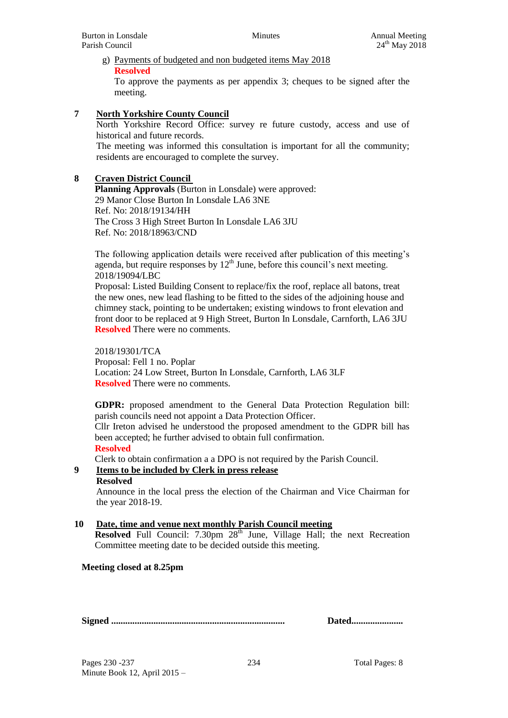# g) Payments of budgeted and non budgeted items May 2018 **Resolved**

To approve the payments as per appendix 3; cheques to be signed after the meeting.

## **7 North Yorkshire County Council**

North Yorkshire Record Office: survey re future custody, access and use of historical and future records.

The meeting was informed this consultation is important for all the community; residents are encouraged to complete the survey.

### **8 Craven District Council**

**Planning Approvals** (Burton in Lonsdale) were approved: 29 Manor Close Burton In Lonsdale LA6 3NE Ref. No: 2018/19134/HH The Cross 3 High Street Burton In Lonsdale LA6 3JU Ref. No: 2018/18963/CND

The following application details were received after publication of this meeting's agenda, but require responses by  $12<sup>th</sup>$  June, before this council's next meeting. 2018/19094/LBC

Proposal: Listed Building Consent to replace/fix the roof, replace all batons, treat the new ones, new lead flashing to be fitted to the sides of the adjoining house and chimney stack, pointing to be undertaken; existing windows to front elevation and front door to be replaced at 9 High Street, Burton In Lonsdale, Carnforth, LA6 3JU **Resolved** There were no comments.

2018/19301/TCA Proposal: Fell 1 no. Poplar Location: 24 Low Street, Burton In Lonsdale, Carnforth, LA6 3LF **Resolved** There were no comments.

**GDPR:** proposed amendment to the General Data Protection Regulation bill: parish councils need not appoint a Data Protection Officer.

Cllr Ireton advised he understood the proposed amendment to the GDPR bill has been accepted; he further advised to obtain full confirmation.

#### **Resolved**

Clerk to obtain confirmation a a DPO is not required by the Parish Council.

### **9 Items to be included by Clerk in press release**

### **Resolved**

Announce in the local press the election of the Chairman and Vice Chairman for the year 2018-19.

### **10 Date, time and venue next monthly Parish Council meeting**

**Resolved** Full Council: 7.30pm 28<sup>th</sup> June, Village Hall; the next Recreation Committee meeting date to be decided outside this meeting.

### **Meeting closed at 8.25pm**

**Signed .......................................................................... Dated......................**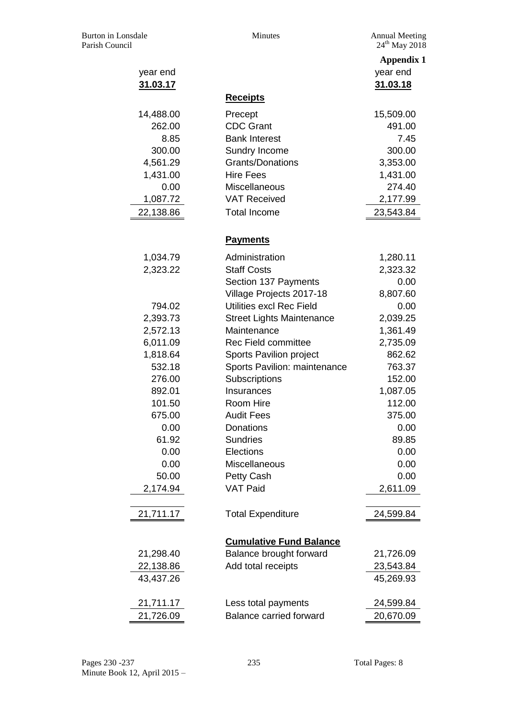Annual Meeting<br> $24^{\text{th}}$  May 2018

| year end  |                                  | <b>Appendix 1</b><br>year end |
|-----------|----------------------------------|-------------------------------|
| 31.03.17  |                                  | 31.03.18                      |
|           | <b>Receipts</b>                  |                               |
| 14,488.00 | Precept                          | 15,509.00                     |
| 262.00    | <b>CDC Grant</b>                 | 491.00                        |
| 8.85      | <b>Bank Interest</b>             | 7.45                          |
| 300.00    | Sundry Income                    | 300.00                        |
| 4,561.29  | <b>Grants/Donations</b>          | 3,353.00                      |
| 1,431.00  | <b>Hire Fees</b>                 | 1,431.00                      |
| 0.00      | Miscellaneous                    | 274.40                        |
| 1,087.72  | <b>VAT Received</b>              | 2,177.99                      |
| 22,138.86 | <b>Total Income</b>              | 23,543.84                     |
|           | <b>Payments</b>                  |                               |
| 1,034.79  | Administration                   | 1,280.11                      |
| 2,323.22  | <b>Staff Costs</b>               | 2,323.32                      |
|           | Section 137 Payments             | 0.00                          |
|           | Village Projects 2017-18         | 8,807.60                      |
| 794.02    | Utilities excl Rec Field         | 0.00                          |
| 2,393.73  | <b>Street Lights Maintenance</b> | 2,039.25                      |
| 2,572.13  | Maintenance                      | 1,361.49                      |
| 6,011.09  | <b>Rec Field committee</b>       | 2,735.09                      |
| 1,818.64  | Sports Pavilion project          | 862.62                        |
| 532.18    | Sports Pavilion: maintenance     | 763.37                        |
| 276.00    | Subscriptions                    | 152.00                        |
| 892.01    | Insurances                       | 1,087.05                      |
| 101.50    | Room Hire                        | 112.00                        |
| 675.00    | <b>Audit Fees</b>                | 375.00                        |
| 0.00      | Donations                        | 0.00                          |
| 61.92     | <b>Sundries</b>                  | 89.85                         |
| 0.00      | Elections                        | 0.00                          |
| 0.00      | Miscellaneous                    | 0.00                          |
| 50.00     | Petty Cash                       | 0.00                          |
| 2,174.94  | <b>VAT Paid</b>                  | 2,611.09                      |
| 21,711.17 | <b>Total Expenditure</b>         | 24,599.84                     |
|           | <b>Cumulative Fund Balance</b>   |                               |
| 21,298.40 | Balance brought forward          | 21,726.09                     |
| 22,138.86 | Add total receipts               | 23,543.84                     |
| 43,437.26 |                                  | 45,269.93                     |
| 21,711.17 | Less total payments              | 24,599.84                     |
| 21,726.09 | <b>Balance carried forward</b>   | 20,670.09                     |
|           |                                  |                               |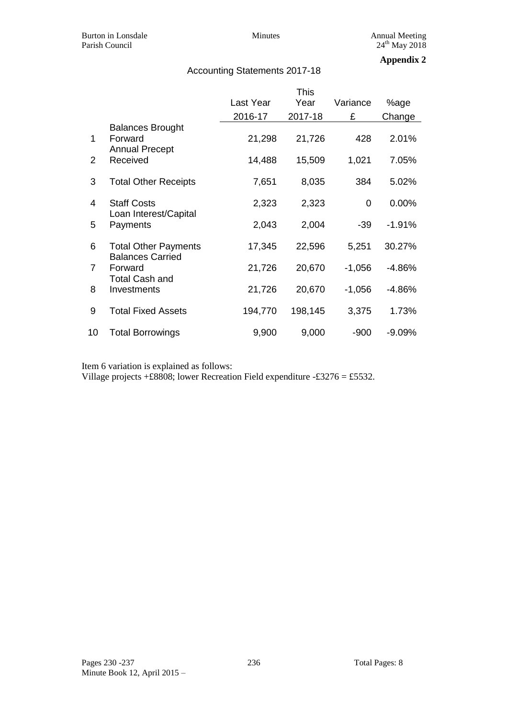## Accounting Statements 2017-18

### **Appendix 2**

|                |                                                                                                           | <b>This</b> |         |          |          |
|----------------|-----------------------------------------------------------------------------------------------------------|-------------|---------|----------|----------|
|                |                                                                                                           | Last Year   | Year    | Variance | %age     |
|                |                                                                                                           | 2016-17     | 2017-18 | £        | Change   |
| 1              | <b>Balances Brought</b><br>Forward<br><b>Annual Precept</b><br>Received                                   | 21,298      | 21,726  | 428      | 2.01%    |
| $\overline{2}$ |                                                                                                           | 14,488      | 15,509  | 1,021    | 7.05%    |
| 3              | <b>Total Other Receipts</b>                                                                               | 7,651       | 8,035   | 384      | 5.02%    |
| 4              | <b>Staff Costs</b><br>Loan Interest/Capital<br>Payments                                                   | 2,323       | 2,323   | 0        | $0.00\%$ |
| 5              |                                                                                                           | 2,043       | 2,004   | $-39$    | $-1.91%$ |
| 6              | <b>Total Other Payments</b><br><b>Balances Carried</b><br>Forward<br><b>Total Cash and</b><br>Investments | 17,345      | 22,596  | 5,251    | 30.27%   |
| 7              |                                                                                                           | 21,726      | 20,670  | $-1,056$ | $-4.86%$ |
| 8              |                                                                                                           | 21,726      | 20,670  | $-1,056$ | $-4.86%$ |
| 9              | <b>Total Fixed Assets</b>                                                                                 | 194,770     | 198,145 | 3,375    | 1.73%    |
| 10             | <b>Total Borrowings</b>                                                                                   | 9,900       | 9,000   | $-900$   | $-9.09%$ |

Item 6 variation is explained as follows:

Village projects +£8808; lower Recreation Field expenditure -£3276 = £5532.